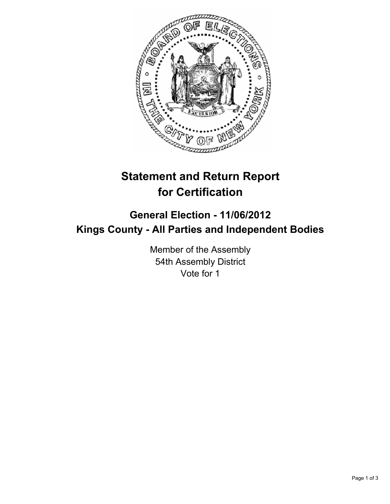

## **Statement and Return Report for Certification**

## **General Election - 11/06/2012 Kings County - All Parties and Independent Bodies**

Member of the Assembly 54th Assembly District Vote for 1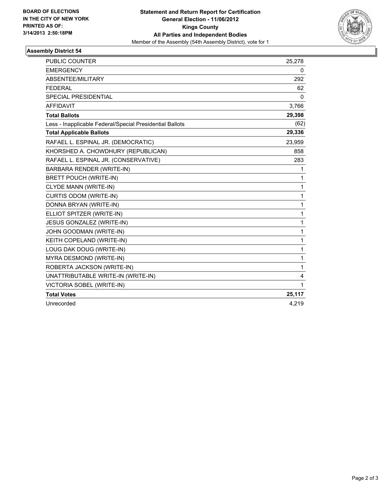

## **Assembly District 54**

| <b>PUBLIC COUNTER</b>                                    | 25,278       |
|----------------------------------------------------------|--------------|
| <b>EMERGENCY</b>                                         | 0            |
| ABSENTEE/MILITARY                                        | 292          |
| <b>FEDERAL</b>                                           | 62           |
| <b>SPECIAL PRESIDENTIAL</b>                              | 0            |
| <b>AFFIDAVIT</b>                                         | 3,766        |
| <b>Total Ballots</b>                                     | 29,398       |
| Less - Inapplicable Federal/Special Presidential Ballots | (62)         |
| <b>Total Applicable Ballots</b>                          | 29,336       |
| RAFAEL L. ESPINAL JR. (DEMOCRATIC)                       | 23,959       |
| KHORSHED A. CHOWDHURY (REPUBLICAN)                       | 858          |
| RAFAEL L. ESPINAL JR. (CONSERVATIVE)                     | 283          |
| BARBARA RENDER (WRITE-IN)                                | 1            |
| <b>BRETT POUCH (WRITE-IN)</b>                            | 1            |
| CLYDE MANN (WRITE-IN)                                    | 1            |
| <b>CURTIS ODOM (WRITE-IN)</b>                            | $\mathbf{1}$ |
| DONNA BRYAN (WRITE-IN)                                   | $\mathbf{1}$ |
| ELLIOT SPITZER (WRITE-IN)                                | $\mathbf{1}$ |
| JESUS GONZALEZ (WRITE-IN)                                | 1            |
| JOHN GOODMAN (WRITE-IN)                                  | 1            |
| KEITH COPELAND (WRITE-IN)                                | $\mathbf{1}$ |
| LOUG DAK DOUG (WRITE-IN)                                 | 1            |
| MYRA DESMOND (WRITE-IN)                                  | 1            |
| ROBERTA JACKSON (WRITE-IN)                               | $\mathbf{1}$ |
| UNATTRIBUTABLE WRITE-IN (WRITE-IN)                       | 4            |
| VICTORIA SOBEL (WRITE-IN)                                | 1            |
| <b>Total Votes</b>                                       | 25,117       |
| Unrecorded                                               | 4,219        |